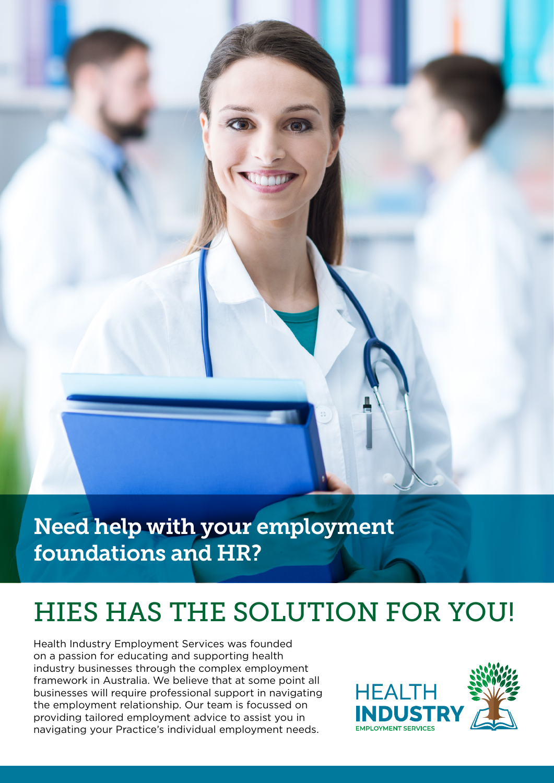

Need help with your employment foundations and HR?

# HIES HAS THE SOLUTION FOR YOU!

Health Industry Employment Services was founded on a passion for educating and supporting health industry businesses through the complex employment framework in Australia. We believe that at some point all businesses will require professional support in navigating the employment relationship. Our team is focussed on providing tailored employment advice to assist you in navigating your Practice's individual employment needs.

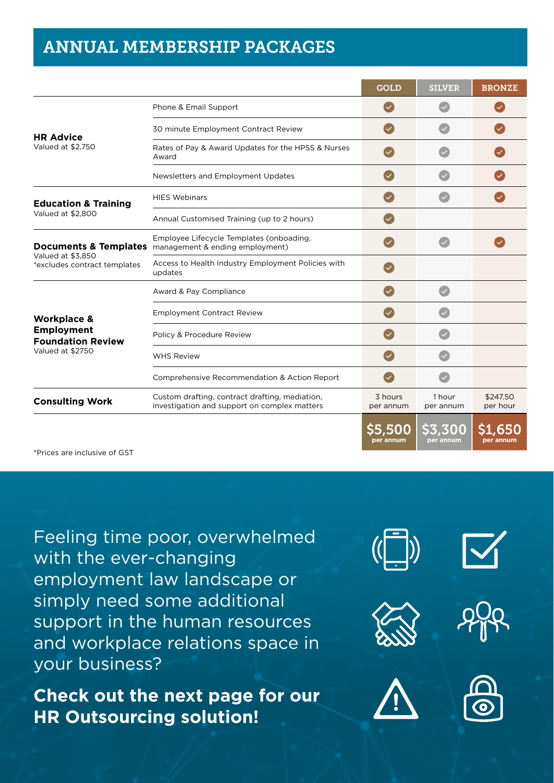### ANNUAL MEMBERSHIP PACKAGES

|                                                                                             |                                                                                                              | <b>GOLD</b>          | <b>SILVER</b>              | <b>BRONZE</b>               |
|---------------------------------------------------------------------------------------------|--------------------------------------------------------------------------------------------------------------|----------------------|----------------------------|-----------------------------|
|                                                                                             | Phone & Email Support                                                                                        |                      |                            |                             |
| <b>HR Advice</b><br>Valued at \$2,750                                                       | 30 minute Employment Contract Review                                                                         |                      |                            |                             |
|                                                                                             | Rates of Pay & Award Updates for the HPSS & Nurses<br>Award                                                  |                      |                            |                             |
|                                                                                             | Newsletters and Employment Updates                                                                           |                      |                            |                             |
| <b>Education &amp; Training</b><br>Valued at \$2,800                                        | <b>HIES Webinars</b>                                                                                         |                      |                            |                             |
|                                                                                             | Annual Customised Training (up to 2 hours)                                                                   |                      |                            |                             |
| Valued at \$3,850<br>*excludes contract templates                                           | Employee Lifecycle Templates (onboading,<br><b>Documents &amp; Templates</b> management & ending employment) |                      |                            |                             |
|                                                                                             | Access to Health Industry Employment Policies with<br>updates                                                |                      |                            |                             |
| <b>Workplace &amp;</b><br><b>Employment</b><br><b>Foundation Review</b><br>Valued at \$2750 | Award & Pay Compliance                                                                                       |                      |                            |                             |
|                                                                                             | <b>Employment Contract Review</b>                                                                            |                      |                            |                             |
|                                                                                             | Policy & Procedure Review                                                                                    |                      |                            |                             |
|                                                                                             | <b>WHS Review</b>                                                                                            |                      |                            |                             |
|                                                                                             | Comprehensive Recommendation & Action Report                                                                 |                      |                            |                             |
| <b>Consulting Work</b>                                                                      | Custom drafting, contract drafting, mediation,<br>investigation and support on complex matters               | 3 hours<br>per annum | 1 hour<br>per annum        | \$247.50<br>per hour        |
|                                                                                             |                                                                                                              | \$5,500<br>per annum | <b>S3.300</b><br>per annum | <b>\$1,650</b><br>per annum |

\*Prices are inclusive of GST

Feeling time poor, overwhelmed with the ever-changing employment law landscape or simply need some additional support in the human resources and workplace relations space in your business?

**Check out the next page for our HR Outsourcing solution!**







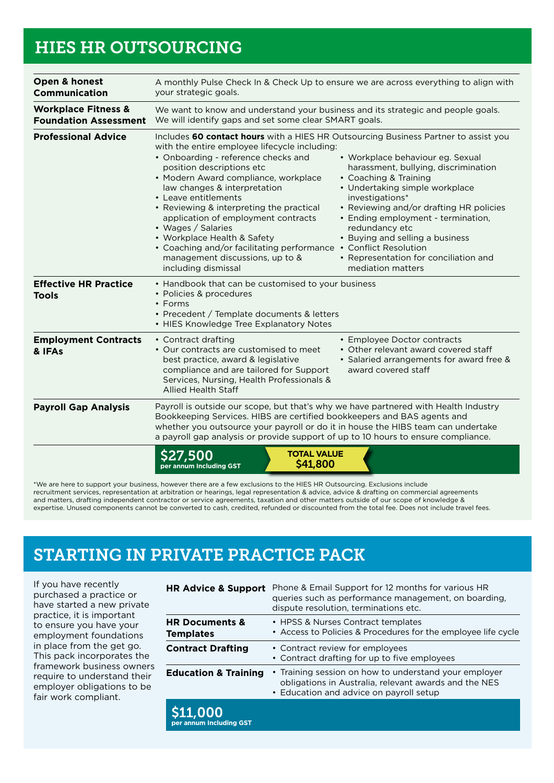### HIES HR OUTSOURCING

| Open & honest<br><b>Communication</b>                          | A monthly Pulse Check In & Check Up to ensure we are across everything to align with<br>your strategic goals.                                                                                                                                                                                                                                                                                                                                                                                                                                                                  |                                                                                                                                                                                                                                                                                                                                                            |  |
|----------------------------------------------------------------|--------------------------------------------------------------------------------------------------------------------------------------------------------------------------------------------------------------------------------------------------------------------------------------------------------------------------------------------------------------------------------------------------------------------------------------------------------------------------------------------------------------------------------------------------------------------------------|------------------------------------------------------------------------------------------------------------------------------------------------------------------------------------------------------------------------------------------------------------------------------------------------------------------------------------------------------------|--|
| <b>Workplace Fitness &amp;</b><br><b>Foundation Assessment</b> | We want to know and understand your business and its strategic and people goals.<br>We will identify gaps and set some clear SMART goals.                                                                                                                                                                                                                                                                                                                                                                                                                                      |                                                                                                                                                                                                                                                                                                                                                            |  |
| <b>Professional Advice</b>                                     | Includes 60 contact hours with a HIES HR Outsourcing Business Partner to assist you<br>with the entire employee lifecycle including:<br>• Onboarding - reference checks and<br>position descriptions etc<br>• Modern Award compliance, workplace<br>law changes & interpretation<br>• Leave entitlements<br>• Reviewing & interpreting the practical<br>application of employment contracts<br>• Wages / Salaries<br>• Workplace Health & Safety<br>• Coaching and/or facilitating performance • Conflict Resolution<br>management discussions, up to &<br>including dismissal | • Workplace behaviour eg. Sexual<br>harassment, bullying, discrimination<br>• Coaching & Training<br>• Undertaking simple workplace<br>investigations*<br>• Reviewing and/or drafting HR policies<br>• Ending employment - termination,<br>redundancy etc<br>• Buying and selling a business<br>• Representation for conciliation and<br>mediation matters |  |
| <b>Effective HR Practice</b><br><b>Tools</b>                   | • Handbook that can be customised to your business<br>• Policies & procedures<br>• Forms<br>• Precedent / Template documents & letters<br>• HIES Knowledge Tree Explanatory Notes                                                                                                                                                                                                                                                                                                                                                                                              |                                                                                                                                                                                                                                                                                                                                                            |  |
| <b>Employment Contracts</b><br>& IFAs                          | • Contract drafting<br>• Our contracts are customised to meet<br>best practice, award & legislative<br>compliance and are tailored for Support<br>Services, Nursing, Health Professionals &<br><b>Allied Health Staff</b>                                                                                                                                                                                                                                                                                                                                                      | • Employee Doctor contracts<br>• Other relevant award covered staff<br>· Salaried arrangements for award free &<br>award covered staff                                                                                                                                                                                                                     |  |
| <b>Payroll Gap Analysis</b>                                    | Payroll is outside our scope, but that's why we have partnered with Health Industry<br>Bookkeeping Services. HIBS are certified bookkeepers and BAS agents and<br>whether you outsource your payroll or do it in house the HIBS team can undertake<br>a payroll gap analysis or provide support of up to 10 hours to ensure compliance.                                                                                                                                                                                                                                        |                                                                                                                                                                                                                                                                                                                                                            |  |
|                                                                | <b>TOTAL VALUE</b><br><b>27,500</b><br>\$41,800<br>ber annum Including GST                                                                                                                                                                                                                                                                                                                                                                                                                                                                                                     |                                                                                                                                                                                                                                                                                                                                                            |  |

\*We are here to support your business, however there are a few exclusions to the HIES HR Outsourcing. Exclusions include recruitment services, representation at arbitration or hearings, legal representation & advice, advice & drafting on commercial agreements and matters, drafting independent contractor or service agreements, taxation and other matters outside of our scope of knowledge & expertise. Unused components cannot be converted to cash, credited, refunded or discounted from the total fee. Does not include travel fees.

## STARTING IN PRIVATE PRACTICE PACK

If you have recently purchased a practice or have started a new private practice, it is important to ensure you have your employment foundations in place from the get go. This pack incorporates the framework business owners require to understand their employer obligations to be fair work compliant.

| <b>HR Advice &amp; Support</b>                | Phone & Email Support for 12 months for various HR<br>queries such as performance management, on boarding,<br>dispute resolution, terminations etc.       |
|-----------------------------------------------|-----------------------------------------------------------------------------------------------------------------------------------------------------------|
| <b>HR Documents &amp;</b><br><b>Templates</b> | • HPSS & Nurses Contract templates<br>• Access to Policies & Procedures for the employee life cycle                                                       |
| <b>Contract Drafting</b>                      | • Contract review for employees<br>• Contract drafting for up to five employees                                                                           |
| <b>Education &amp; Training</b>               | • Training session on how to understand your employer<br>obligations in Australia, relevant awards and the NES<br>• Education and advice on payroll setup |
| <b>S11,000</b><br>per annum Including GST     |                                                                                                                                                           |